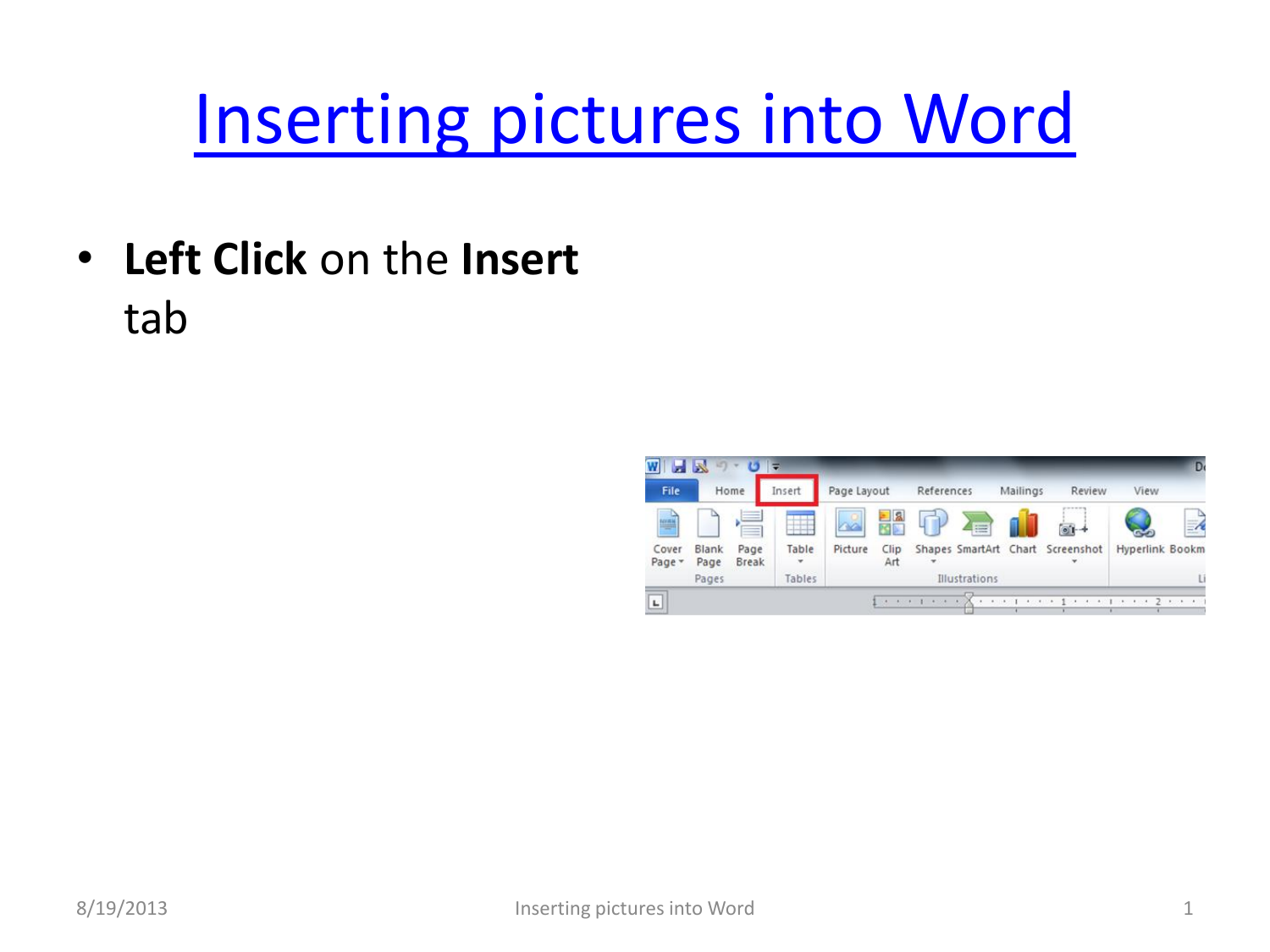## [Inserting pictures into Word](#page-3-0)

• **Left Click** on the **Insert** tab

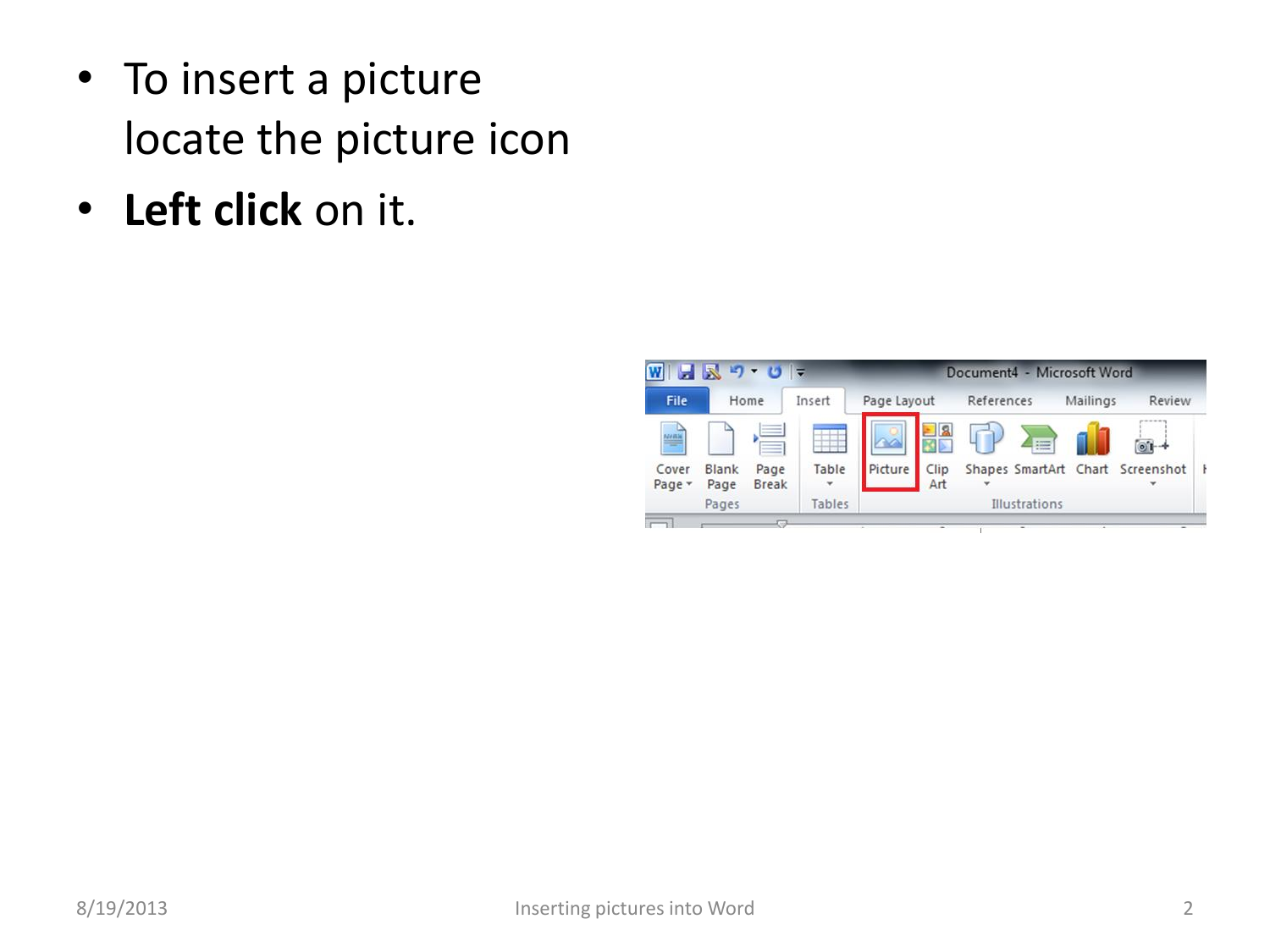- To insert a picture locate the picture icon
- **Left click** on it.

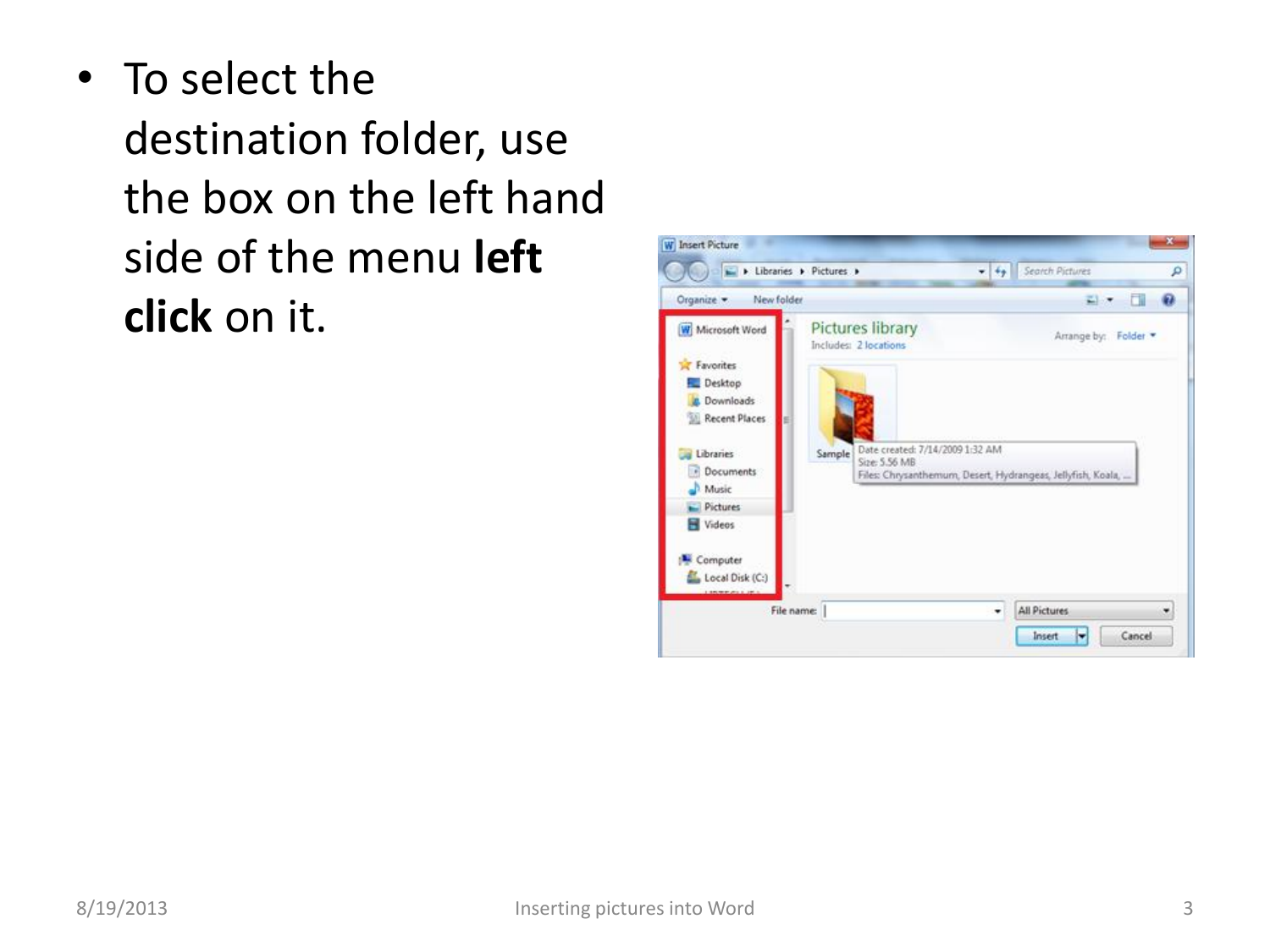• To select the destination folder, use the box on the left hand side of the menu **left click** on it.

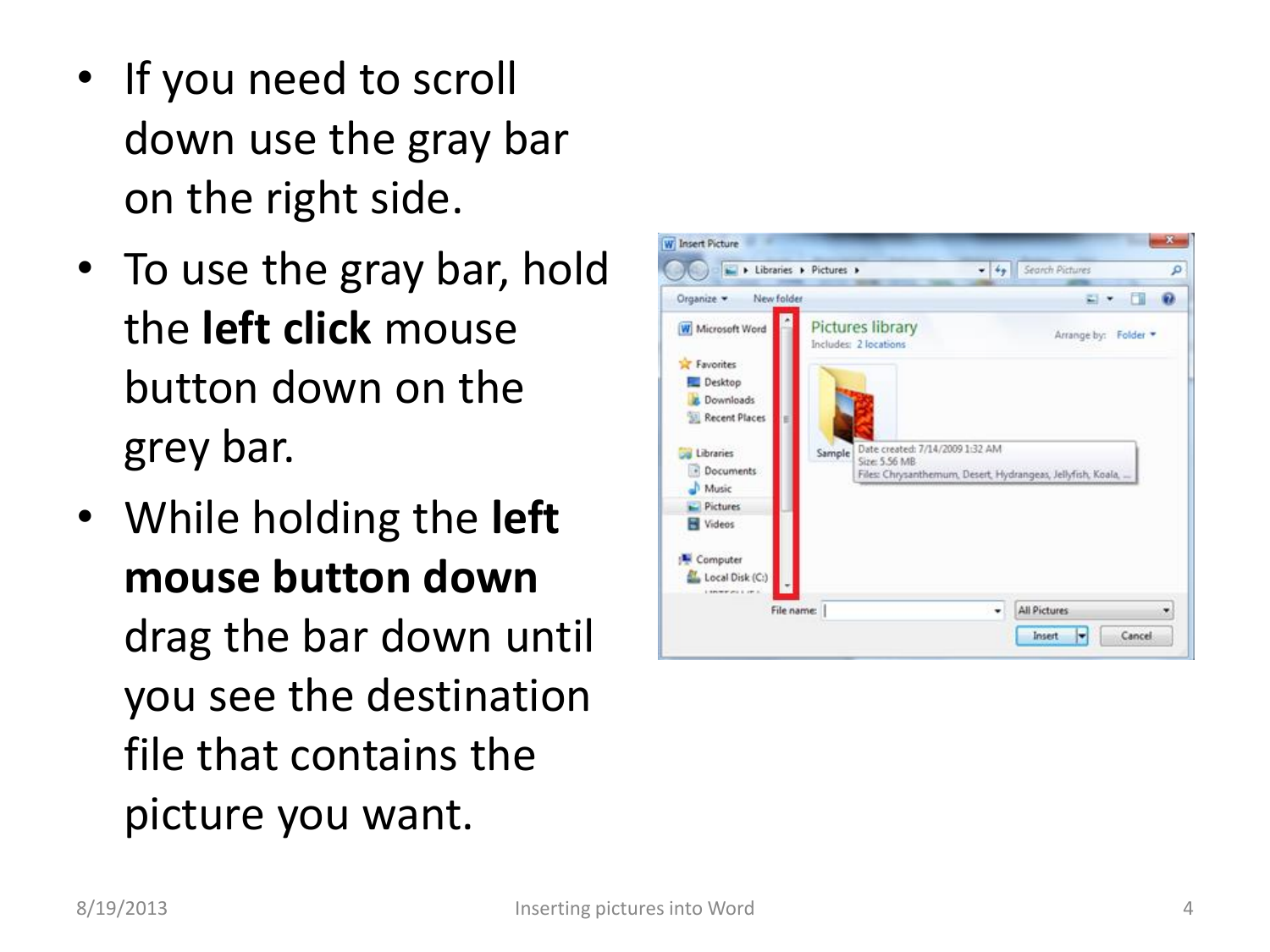- If you need to scroll down use the gray bar on the right side .
- To use the gray bar, hold the **left click** mouse button down on the grey bar.
- <span id="page-3-0"></span>• While holding the **left mouse button down** drag the bar down until you see the destination file that contains the picture you want.

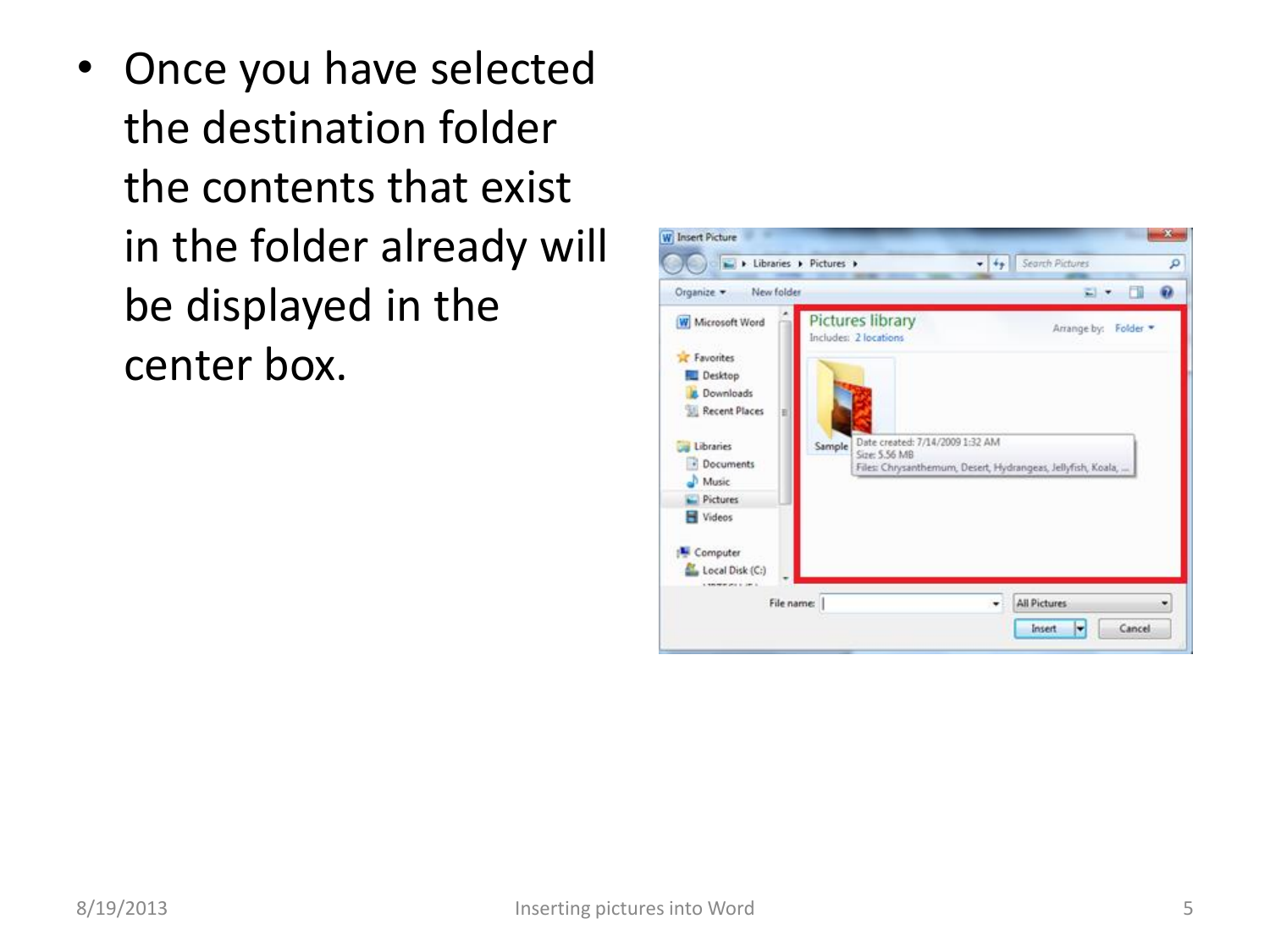• Once you have selected the destination folder the contents that exist in the folder already will be displayed in the center box.

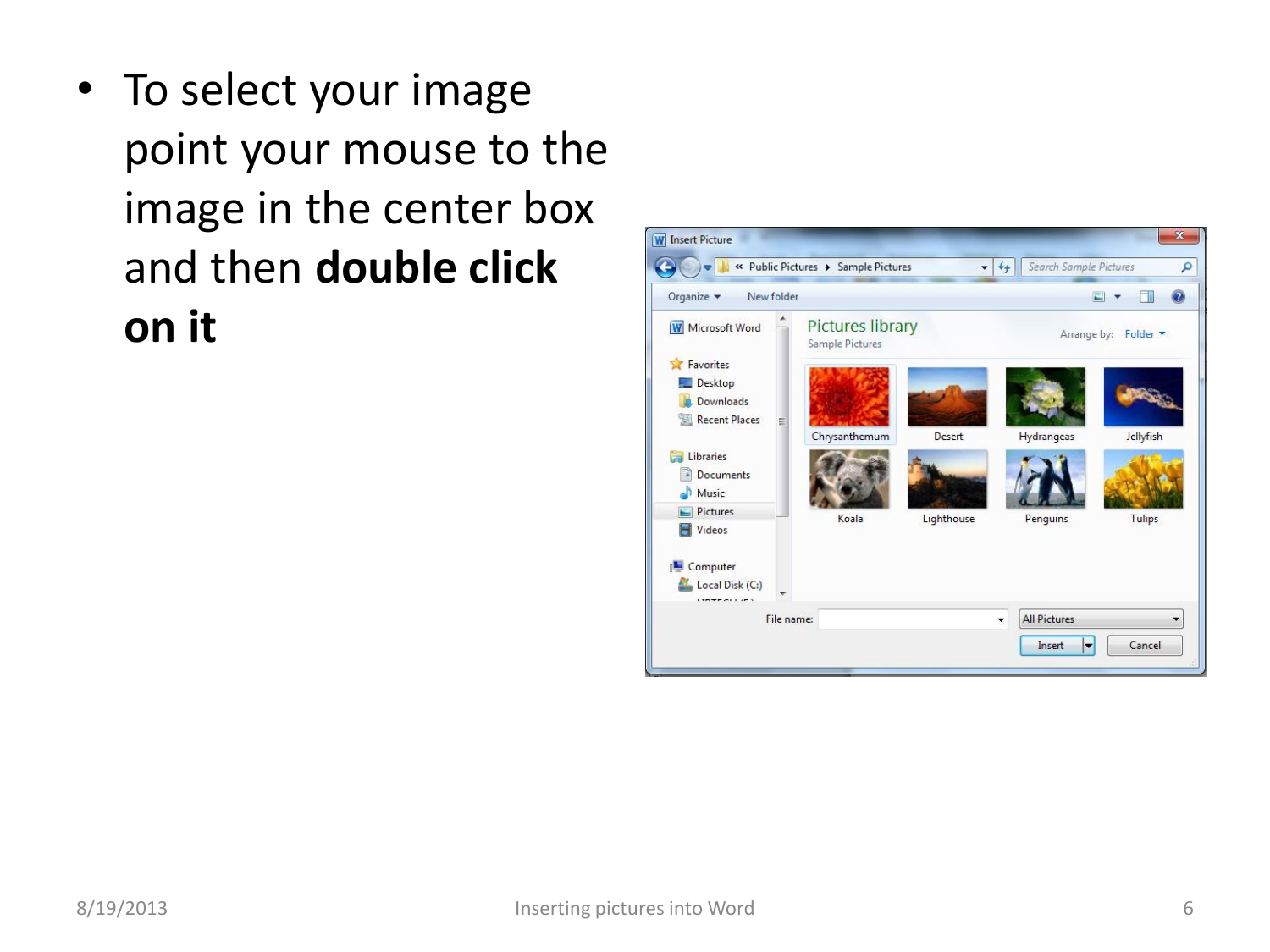• To select your image point your mouse to the image in the center box and then **double click on it**